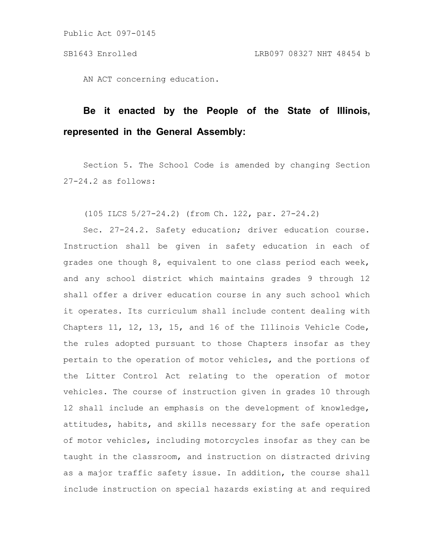Public Act 097-0145

AN ACT concerning education.

## **Be it enacted by the People of the State of Illinois, represented in the General Assembly:**

Section 5. The School Code is amended by changing Section 27-24.2 as follows:

(105 ILCS 5/27-24.2) (from Ch. 122, par. 27-24.2)

Sec. 27-24.2. Safety education; driver education course. Instruction shall be given in safety education in each of grades one though 8, equivalent to one class period each week, and any school district which maintains grades 9 through 12 shall offer a driver education course in any such school which it operates. Its curriculum shall include content dealing with Chapters 11, 12, 13, 15, and 16 of the Illinois Vehicle Code, the rules adopted pursuant to those Chapters insofar as they pertain to the operation of motor vehicles, and the portions of the Litter Control Act relating to the operation of motor vehicles. The course of instruction given in grades 10 through 12 shall include an emphasis on the development of knowledge, attitudes, habits, and skills necessary for the safe operation of motor vehicles, including motorcycles insofar as they can be taught in the classroom, and instruction on distracted driving as a major traffic safety issue. In addition, the course shall include instruction on special hazards existing at and required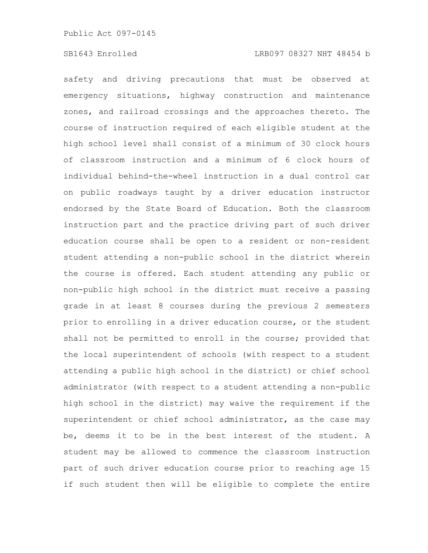safety and driving precautions that must be observed at emergency situations, highway construction and maintenance zones, and railroad crossings and the approaches thereto. The course of instruction required of each eligible student at the high school level shall consist of a minimum of 30 clock hours of classroom instruction and a minimum of 6 clock hours of individual behind-the-wheel instruction in a dual control car on public roadways taught by a driver education instructor endorsed by the State Board of Education. Both the classroom instruction part and the practice driving part of such driver education course shall be open to a resident or non-resident student attending a non-public school in the district wherein the course is offered. Each student attending any public or non-public high school in the district must receive a passing grade in at least 8 courses during the previous 2 semesters prior to enrolling in a driver education course, or the student shall not be permitted to enroll in the course; provided that the local superintendent of schools (with respect to a student attending a public high school in the district) or chief school administrator (with respect to a student attending a non-public high school in the district) may waive the requirement if the superintendent or chief school administrator, as the case may be, deems it to be in the best interest of the student. A student may be allowed to commence the classroom instruction part of such driver education course prior to reaching age 15 if such student then will be eligible to complete the entire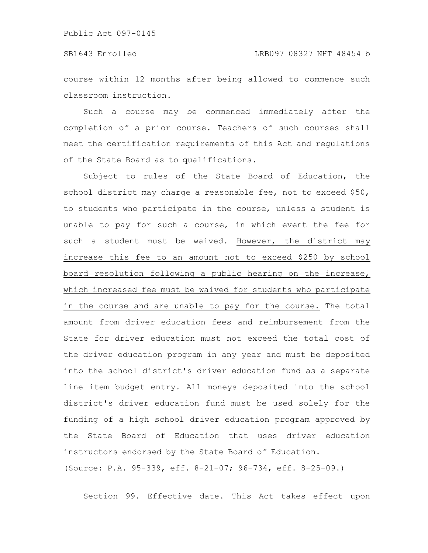course within 12 months after being allowed to commence such classroom instruction.

Such a course may be commenced immediately after the completion of a prior course. Teachers of such courses shall meet the certification requirements of this Act and regulations of the State Board as to qualifications.

Subject to rules of the State Board of Education, the school district may charge a reasonable fee, not to exceed \$50, to students who participate in the course, unless a student is unable to pay for such a course, in which event the fee for such a student must be waived. However, the district may increase this fee to an amount not to exceed \$250 by school board resolution following a public hearing on the increase, which increased fee must be waived for students who participate in the course and are unable to pay for the course. The total amount from driver education fees and reimbursement from the State for driver education must not exceed the total cost of the driver education program in any year and must be deposited into the school district's driver education fund as a separate line item budget entry. All moneys deposited into the school district's driver education fund must be used solely for the funding of a high school driver education program approved by the State Board of Education that uses driver education instructors endorsed by the State Board of Education. (Source: P.A. 95-339, eff. 8-21-07; 96-734, eff. 8-25-09.)

Section 99. Effective date. This Act takes effect upon